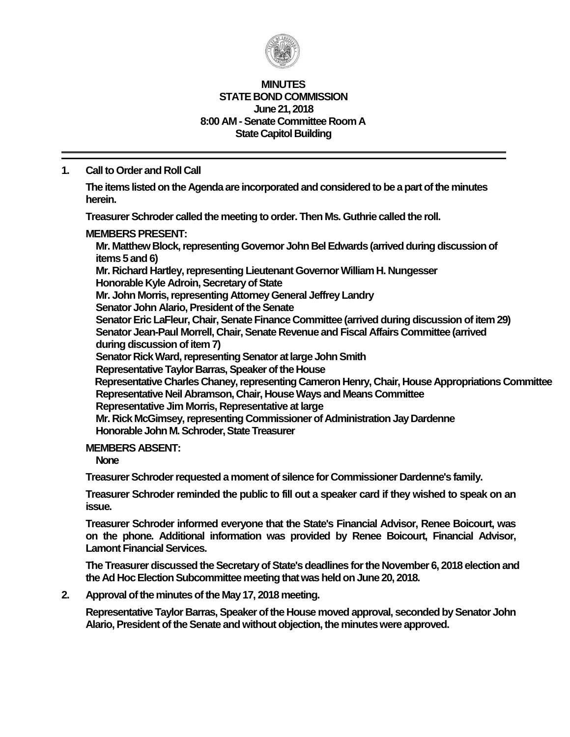

#### **MINUTES STATE BOND COMMISSION June 21, 2018 8:00 AM - Senate Committee Room A State Capitol Building**

# **1. Call to Order and Roll Call**

**The items listed on the Agenda are incorporated and considered to be a part of the minutes herein.**

**Treasurer Schroder called the meeting to order. Then Ms. Guthrie called the roll.**

## **MEMBERS PRESENT:**

**Mr. Matthew Block, representing Governor John Bel Edwards (arrived during discussion of items 5 and 6)**

**Mr. Richard Hartley, representing Lieutenant Governor William H. Nungesser Honorable Kyle Adroin, Secretary of State**

**Mr. John Morris, representing Attorney General Jeffrey Landry**

**Senator John Alario, President of the Senate**

**Senator Eric LaFleur, Chair, Senate Finance Committee (arrived during discussion of item 29) Senator Jean-Paul Morrell, Chair, Senate Revenue and Fiscal Affairs Committee (arrived during discussion of item 7)**

**Senator Rick Ward, representing Senator at large John Smith** 

**Representative Taylor Barras, Speaker of the House**

**Representative Charles Chaney, representing Cameron Henry, Chair, House Appropriations Committee Representative Neil Abramson, Chair, House Ways and Means Committee Representative Jim Morris, Representative at large Mr. Rick McGimsey, representing Commissioner of Administration Jay Dardenne**

**Honorable John M. Schroder, State Treasurer**

# **MEMBERS ABSENT:**

**None**

**Treasurer Schroder requested a moment of silence for Commissioner Dardenne's family.**

**Treasurer Schroder reminded the public to fill out a speaker card if they wished to speak on an issue.**

**Treasurer Schroder informed everyone that the State's Financial Advisor, Renee Boicourt, was on the phone. Additional information was provided by Renee Boicourt, Financial Advisor, Lamont Financial Services.**

The Treasurer discussed the Secretary of State's deadlines for the November 6, 2018 election and **the Ad Hoc Election Subcommittee meeting that was held on June 20, 2018.**

**2. Approval of the minutes of the May 17, 2018 meeting.**

**Representative Taylor Barras, Speaker of the House moved approval, seconded by Senator John Alario, President of the Senate and without objection, the minutes were approved.**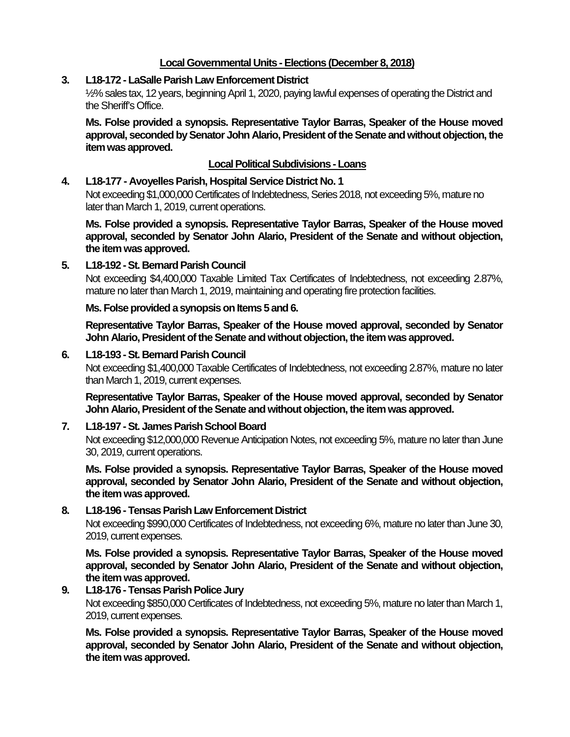# **Local Governmental Units -Elections (December 8, 2018)**

# **3. L18-172 - LaSalle Parish Law Enforcement District**

½% sales tax, 12 years, beginning April 1, 2020, paying lawful expenses of operating the District and the Sheriff's Office.

**Ms. Folse provided a synopsis. Representative Taylor Barras, Speaker of the House moved approval, seconded by Senator John Alario, President of the Senate and without objection, the item was approved.**

# **Local Political Subdivisions -Loans**

# **4. L18-177 - Avoyelles Parish, Hospital Service District No. 1**

Not exceeding \$1,000,000 Certificates of Indebtedness, Series 2018, not exceeding 5%, mature no later than March 1, 2019, current operations.

**Ms. Folse provided a synopsis. Representative Taylor Barras, Speaker of the House moved approval, seconded by Senator John Alario, President of the Senate and without objection, the item was approved.**

## **5. L18-192 -St. Bernard Parish Council**

Not exceeding \$4,400,000 Taxable Limited Tax Certificates of Indebtedness, not exceeding 2.87%, mature no later than March 1, 2019, maintaining and operating fire protection facilities.

### **Ms. Folse provided a synopsis on Items 5 and 6.**

**Representative Taylor Barras, Speaker of the House moved approval, seconded by Senator John Alario, President of the Senate and without objection, the item was approved.**

## **6. L18-193 -St. Bernard Parish Council**

Not exceeding \$1,400,000 Taxable Certificates of Indebtedness, not exceeding 2.87%, mature no later than March 1, 2019, current expenses.

**Representative Taylor Barras, Speaker of the House moved approval, seconded by Senator John Alario, President of the Senate and without objection, the item was approved.**

## **7. L18-197 -St. James Parish School Board**

Not exceeding \$12,000,000 Revenue Anticipation Notes, not exceeding 5%, mature no later than June 30, 2019, current operations.

**Ms. Folse provided a synopsis. Representative Taylor Barras, Speaker of the House moved approval, seconded by Senator John Alario, President of the Senate and without objection, the item was approved.**

## **8. L18-196 - Tensas Parish Law Enforcement District**

Not exceeding \$990,000 Certificates of Indebtedness, not exceeding 6%, mature no later than June 30, 2019, current expenses.

**Ms. Folse provided a synopsis. Representative Taylor Barras, Speaker of the House moved approval, seconded by Senator John Alario, President of the Senate and without objection, the item was approved.**

# **9. L18-176 - Tensas Parish Police Jury**

Not exceeding \$850,000 Certificates of Indebtedness, not exceeding 5%, mature no later than March 1, 2019, current expenses.

**Ms. Folse provided a synopsis. Representative Taylor Barras, Speaker of the House moved approval, seconded by Senator John Alario, President of the Senate and without objection, the item was approved.**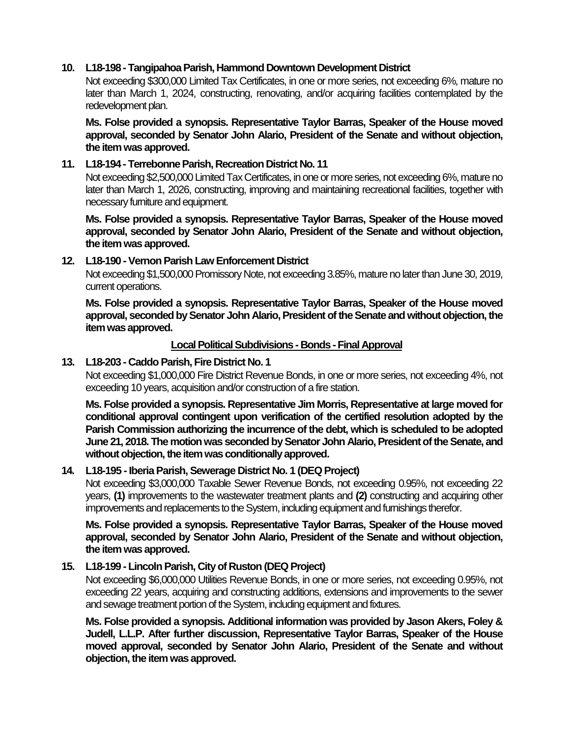# **10. L18-198 - Tangipahoa Parish, Hammond Downtown Development District**

Not exceeding \$300,000 Limited Tax Certificates, in one or more series, not exceeding 6%, mature no later than March 1, 2024, constructing, renovating, and/or acquiring facilities contemplated by the redevelopment plan.

**Ms. Folse provided a synopsis. Representative Taylor Barras, Speaker of the House moved approval, seconded by Senator John Alario, President of the Senate and without objection, the item was approved.**

## **11. L18-194 - Terrebonne Parish, Recreation District No. 11**

Not exceeding \$2,500,000 Limited Tax Certificates, in one or more series, not exceeding 6%, mature no later than March 1, 2026, constructing, improving and maintaining recreational facilities, together with necessary furniture and equipment.

**Ms. Folse provided a synopsis. Representative Taylor Barras, Speaker of the House moved approval, seconded by Senator John Alario, President of the Senate and without objection, the item was approved.**

# **12. L18-190 -Vernon Parish Law Enforcement District**

Not exceeding \$1,500,000 Promissory Note, not exceeding 3.85%, mature no later than June 30, 2019, current operations.

**Ms. Folse provided a synopsis. Representative Taylor Barras, Speaker of the House moved approval, seconded by Senator John Alario, President of the Senate and without objection, the item was approved.**

## **Local Political Subdivisions - Bonds -Final Approval**

## **13. L18-203 - Caddo Parish, Fire District No. 1**

Not exceeding \$1,000,000 Fire District Revenue Bonds, in one or more series, not exceeding 4%, not exceeding 10 years, acquisition and/or construction of a fire station.

**Ms. Folse provided a synopsis. Representative Jim Morris, Representative at large moved for conditional approval contingent upon verification of the certified resolution adopted by the Parish Commission authorizing the incurrence of the debt, which is scheduled to be adopted June 21, 2018. The motion was seconded by Senator John Alario, President of the Senate, and without objection, the item was conditionally approved.**

## **14. L18-195 -Iberia Parish, Sewerage District No. 1 (DEQ Project)**

Not exceeding \$3,000,000 Taxable Sewer Revenue Bonds, not exceeding 0.95%, not exceeding 22 years, **(1)** improvements to the wastewater treatment plants and **(2)** constructing and acquiring other improvements and replacements to the System, including equipment and furnishings therefor.

**Ms. Folse provided a synopsis. Representative Taylor Barras, Speaker of the House moved approval, seconded by Senator John Alario, President of the Senate and without objection, the item was approved.**

## **15. L18-199 - Lincoln Parish, City of Ruston (DEQ Project)**

Not exceeding \$6,000,000 Utilities Revenue Bonds, in one or more series, not exceeding 0.95%, not exceeding 22 years, acquiring and constructing additions, extensions and improvements to the sewer and sewage treatment portion of the System, including equipment and fixtures.

**Ms. Folse provided a synopsis. Additional information was provided by Jason Akers, Foley & Judell, L.L.P. After further discussion, Representative Taylor Barras, Speaker of the House moved approval, seconded by Senator John Alario, President of the Senate and without objection, the item was approved.**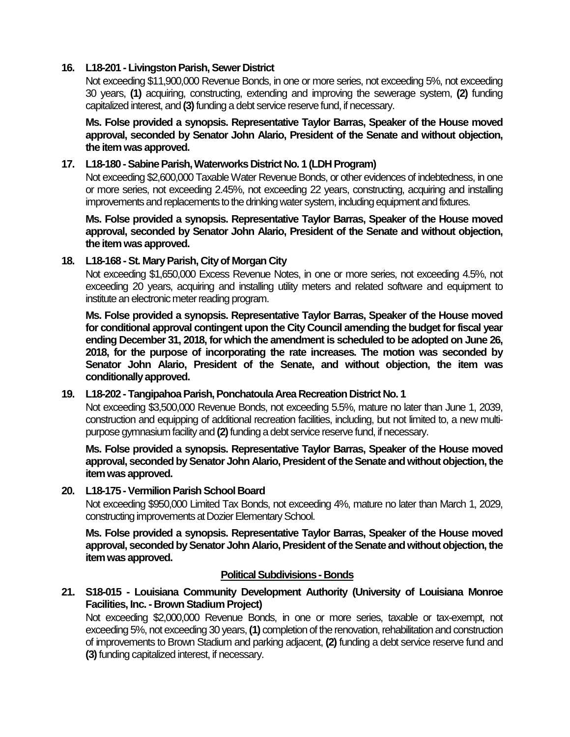# **16. L18-201 - Livingston Parish, Sewer District**

Not exceeding \$11,900,000 Revenue Bonds, in one or more series, not exceeding 5%, not exceeding 30 years, **(1)** acquiring, constructing, extending and improving the sewerage system, **(2)** funding capitalized interest, and **(3)**funding a debt service reserve fund, if necessary.

**Ms. Folse provided a synopsis. Representative Taylor Barras, Speaker of the House moved approval, seconded by Senator John Alario, President of the Senate and without objection, the item was approved.**

# **17. L18-180 -Sabine Parish, Waterworks District No. 1 (LDH Program)**

Not exceeding \$2,600,000 Taxable Water Revenue Bonds, or other evidences of indebtedness, in one or more series, not exceeding 2.45%, not exceeding 22 years, constructing, acquiring and installing improvements and replacements to the drinking water system, including equipment and fixtures.

**Ms. Folse provided a synopsis. Representative Taylor Barras, Speaker of the House moved approval, seconded by Senator John Alario, President of the Senate and without objection, the item was approved.**

# **18. L18-168 -St. Mary Parish, City of Morgan City**

Not exceeding \$1,650,000 Excess Revenue Notes, in one or more series, not exceeding 4.5%, not exceeding 20 years, acquiring and installing utility meters and related software and equipment to institute an electronic meter reading program.

**Ms. Folse provided a synopsis. Representative Taylor Barras, Speaker of the House moved for conditional approval contingent upon the City Council amending the budget for fiscal year ending December 31, 2018, for which the amendment is scheduled to be adopted on June 26, 2018, for the purpose of incorporating the rate increases. The motion was seconded by Senator John Alario, President of the Senate, and without objection, the item was conditionally approved.**

## **19. L18-202 - Tangipahoa Parish, Ponchatoula Area Recreation District No. 1**

Not exceeding \$3,500,000 Revenue Bonds, not exceeding 5.5%, mature no later than June 1, 2039, construction and equipping of additional recreation facilities, including, but not limited to, a new multipurpose gymnasium facility and **(2)**funding a debt service reserve fund, if necessary.

**Ms. Folse provided a synopsis. Representative Taylor Barras, Speaker of the House moved approval, seconded by Senator John Alario, President of the Senate and without objection, the item was approved.**

## **20. L18-175 -Vermilion Parish School Board**

Not exceeding \$950,000 Limited Tax Bonds, not exceeding 4%, mature no later than March 1, 2029, constructing improvements at Dozier Elementary School.

**Ms. Folse provided a synopsis. Representative Taylor Barras, Speaker of the House moved approval, seconded by Senator John Alario, President of the Senate and without objection, the item was approved.**

## **Political Subdivisions - Bonds**

**21. S18-015 - Louisiana Community Development Authority (University of Louisiana Monroe Facilities, Inc. - Brown Stadium Project)**

Not exceeding \$2,000,000 Revenue Bonds, in one or more series, taxable or tax-exempt, not exceeding 5%, not exceeding 30 years, **(1)** completion of the renovation, rehabilitation and construction of improvements to Brown Stadium and parking adjacent, **(2)** funding a debt service reserve fund and **(3)** funding capitalized interest, if necessary.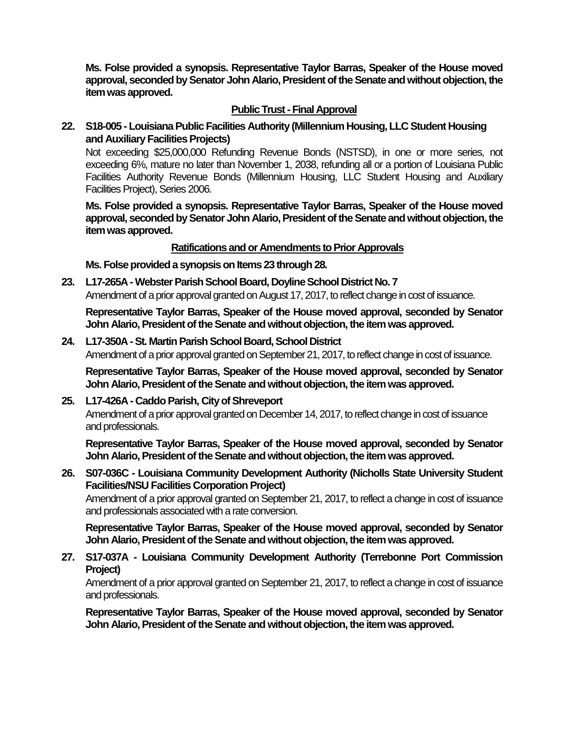**Ms. Folse provided a synopsis. Representative Taylor Barras, Speaker of the House moved approval, seconded by Senator John Alario, President of the Senate and without objection, the item was approved.**

# **Public Trust - Final Approval**

**22. S18-005 - Louisiana Public Facilities Authority (Millennium Housing, LLC Student Housing and Auxiliary Facilities Projects)**

Not exceeding \$25,000,000 Refunding Revenue Bonds (NSTSD), in one or more series, not exceeding 6%, mature no later than November 1, 2038, refunding all or a portion of Louisiana Public Facilities Authority Revenue Bonds (Millennium Housing, LLC Student Housing and Auxiliary Facilities Project), Series 2006.

**Ms. Folse provided a synopsis. Representative Taylor Barras, Speaker of the House moved approval, seconded by Senator John Alario, President of the Senate and without objection, the item was approved.**

## **Ratifications and or Amendments to Prior Approvals**

**Ms. Folse provided a synopsis on Items 23 through 28.**

**23. L17-265A -Webster Parish School Board, Doyline School District No. 7** Amendment of a prior approval granted on August 17, 2017, to reflect change in cost of issuance.

**Representative Taylor Barras, Speaker of the House moved approval, seconded by Senator John Alario, President of the Senate and without objection, the item was approved.**

**24. L17-350A -St. Martin Parish School Board, School District** Amendment of a prior approval granted on September 21, 2017, to reflect change in cost of issuance.

**Representative Taylor Barras, Speaker of the House moved approval, seconded by Senator John Alario, President of the Senate and without objection, the item was approved.**

**25. L17-426A - Caddo Parish, City of Shreveport**

Amendment of a prior approval granted on December 14, 2017, to reflect change in cost of issuance and professionals.

**Representative Taylor Barras, Speaker of the House moved approval, seconded by Senator John Alario, President of the Senate and without objection, the item was approved.**

## **26. S07-036C - Louisiana Community Development Authority (Nicholls State University Student Facilities/NSU Facilities Corporation Project)**

Amendment of a prior approval granted on September 21, 2017, to reflect a change in cost of issuance and professionals associated with a rate conversion.

**Representative Taylor Barras, Speaker of the House moved approval, seconded by Senator John Alario, President of the Senate and without objection, the item was approved.**

**27. S17-037A - Louisiana Community Development Authority (Terrebonne Port Commission Project)**

Amendment of a prior approval granted on September 21, 2017, to reflect a change in cost of issuance and professionals.

**Representative Taylor Barras, Speaker of the House moved approval, seconded by Senator John Alario, President of the Senate and without objection, the item was approved.**